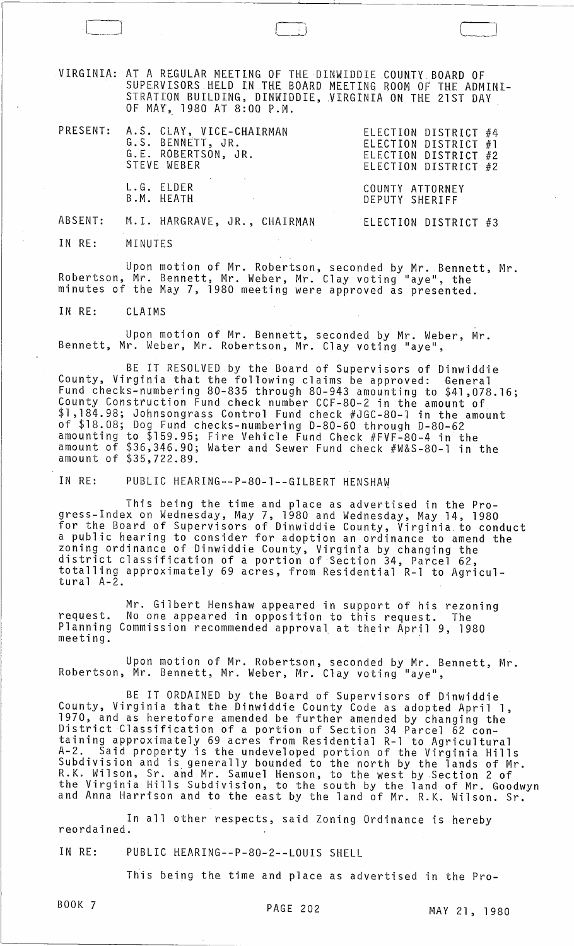VIRGINIA: AT A REGULAR MEETING OF THE DINWIDDIE COUNTY BOARD OF AT A REQUEAR MEETING OF THE BINAIDING ROOM OF THE ADMINI-STRATION BUILDING, DINWIDDIE, VIRGINIA ON THE 21ST DAY OF MAY, 1980 AT 8:QO P.M.

| PRESENT: A.S. CLAY, VICE-CHAIRMAN<br>G.S. BENNETT, JR.<br>G.E. ROBERTSON, JR.<br>STEVE WEBER | ELECTION DISTRICT #4<br>ELECTION DISTRICT #1<br>ELECTION DISTRICT #2<br>ELECTION DISTRICT #2 |
|----------------------------------------------------------------------------------------------|----------------------------------------------------------------------------------------------|
| L.G. ELDER<br>B.M. HEATH<br>the control of the state of the control of the control of        | COUNTY ATTORNEY<br>DEPUTY SHERIFF                                                            |
| ABSENT: M.I. HARGRAVE, JR., CHAIRMAN                                                         | ELECTION DISTRICT #3                                                                         |

IN RE: MINUTES

Upon motion of Mr. Robertson, seconded by Mr. Bennett, Mr. Robertson, Mr. Bennett, Mr. Weber, Mr. Clay voting "aye", the minutes of the May 7, 1980 meeting were approved as presented.

IN RE: CLAIMS

Upon motion of Mr. Bennett, seconded by Mr. Weber, Mr. Bennett, Mr. Weber, Mr. Robertson, Mr. Clay voting "aye",

BE IT RESOLVED by the Board of Supervisors of Dinwiddie County, Virginia that the following claims be approved: General Fund checks-numbering 80-835 through 80-943 amounting to \$41,078.16; County Construction Fund check number CCF-80-2 in the amount of \$1,184.98; Johnsongrass Control Fund check #JGC-80-l in the amount of \$18.08; Dog Fund checks-numbering 0-80-60 through 0-80-62 amounting to \$159.95; Fire Vehicle Fund Check #FVF-80-4 in the amount of \$36,346.90; Water and Sewer Fund check #W&S-80-1 in the amount of \$35,722.89.

IN RE: PUBLIC HEARING--P-80-1--GILBERT HENSHAW

This being the time and place as advertised in the Progress-Index on Wednesday, May 7, 1980 and Wednesday, May 14, 1980 for the Board of Supervisors of Dinwiddie County, Virginia to conduct a public hearing to consider for adoption an ordinance to amend the zoning ordinance of Dinwiddie County, Virginia by changing the district classification of a portion of Section 34, Parcel 62, totalling approximately 69 acres, from Residential R-l to Agricul- tural A-2.

Mr. Gilbert Henshaw appeared in support of his rezoning request. No one appeared in opposition to this request. The Planning Commission recommended approval at their April 9, 1980 meeting.

Upon motion of Mr. Robertson, seconded by Mr. Bennett, Mr. Robertson, Mr. Bennett, Mr. Weber, Mr. Clay voting "aye",

BE IT ORDAINED by the Board of Supervisors of Dinwiddie County, Virginia that the Dinwiddie County Code as adopted April 1, 1970, and as heretofore amended be further amended by changing the District Classification of a portion of Section 34 Parcel 62 containing approximately 69 acres from Residential R-l to Agricultural A-2. Said property is the undeveloped portion of the Virginia Hills Subdivision and is generally bounded to the north by the lands of Mr. R. K. Wil son, Sr. and Mr. Samuel Henson, to the west by Section 2 of the Virginia Hills Subdivision, to the south by the land of Mr. Goodwyn<br>and Anna Harrison and to the east by the land of Mr. R.K. Wilson. Sr.

In all other respects, said Zoning Ordinance is hereby reordained.

IN RE: PUBLIC HEARING--P-80-2--LOUIS SHELL

This being the time and place as advertised in the Pro-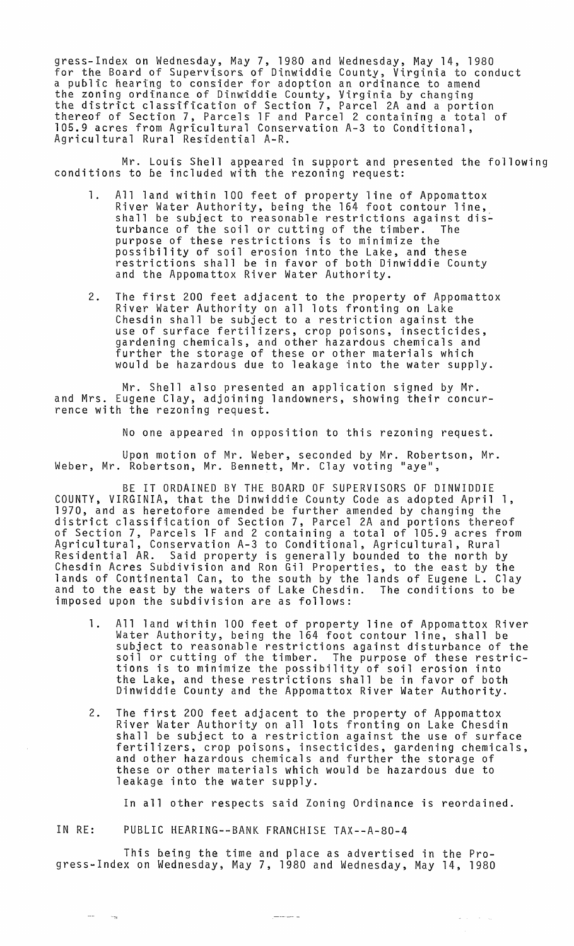gress-Index on Wednesday, May 7, 1980 and Wednesday, May 14, 1980 for the Board of Supervisors of Dinwiddie County, Virginia to conduct a public hearing to consider for adoption an ordinance to amend the zoning ordinance of Dinwiddie County, Virginia by changing the district c1assifitation of Section 7, Parcel 2A and a portion thereof of Section 7, Parcels 1F and Parcel 2 containing a total of 105.9 acres from Agricultural Conservation A-3 to Conditional, Agricultural Rural Residential A-R.

Mr. Louis Shell appeared in support and presented the following conditions to be included with the rezoning request:

- 1. All land within 100 feet of property line of Appomattox River Water Authority, being the 164 foot contour line, shall be subject to reasonable restrictions against dis-<br>turbance of the soil or cutting of the timber. The turbance of the soil or cutting of the timber. purpose of these restrictions is to minimize the possibility of soil erosion into the Lake, and these restrictions shall be in favor of both Dinwiddie County and the Appomattox River Water Authority.
- 2. The first 200 feet adjacent to the property of Appomattox River Water Authority on all lots fronting on Lake Chesdin shall be subject to a restriction against the use of surface fertilizers, crop poisons, insecticides, gardening chemicals, and other hazardous chemicals and further the storage of these or other materials which would be hazardous due to leakage into the water supply.

Mr. Shell also presented an application signed by Mr. and Mrs. Eugene Clay, adjoining landowners, showing their concurrence with the rezoning request.

No one appeared in opposition to this rezoning request.

Upon motion of Mr. Weber, seconded by Mr. Robertson, Mr. Weber, Mr. Robertson, Mr. Bennett, Mr. Clay voting "aye",

BE IT ORDAINED BY THE BOARD OF SUPERVISORS OF DINWIDDIE COUNTY, VIRGINIA, that the Dinwiddie County Code as adopted April 1, 1970, and as heretofore amended be further amended by changing the district classification of Section 7, Parcel 2A and portions thereof of Section 7, Parcels 1F and 2 containing a total of 105.9 acres from Agricultural, Conservation A-3 to Conditional, Agricultural, Rural Residential AR. Said property is generally bounded to the north by Chesdin Acres Subdivision and Ron Gil Properties, to the east by the lands of Continental Can, to the south by the lands of Eugene L. Clay and to the east by the waters of Lake Chesdin. The conditions to be imposed upon the subdivision are as follows:

- 1. All land within 100 feet of property line of Appomattox River Water Authority, being the 164 foot contour line, shall be subject to reasonable restrictions against disturbance of the soil or cutting of the timber. The purpose of these restrictions is to minimize the possibility of soil erosion into the Lake, and these restrictions shall be in favor of both Dinwiddie County and the Appomattox River Water Authority.
- 2. The first 200 feet adjacent to the property of Appomattox River Water Authority on all lots fronting on Lake Chesdin shall be subject to a restriction against the use of surface fertilizers, crop poisons, insecticides, gardening chemicals, and other hazardous chemicals and further the storage of these or other materials which would be hazardous due to leakage into the water supply.

In all other respects said Zoning Ordinance is reordained.

 $\sigma_{\rm{max}}=1.5\times 10^{11}$ 

IN RE: PUBLIC HEARING--BANK FRANCHISE TAX--A-80-4

 $\sim$   $\sim$ 

 $\sim$  75

This being the time and place as advertised in the Progress-Index on Wednesday, May 7, 1980 and Wednesday, May 14, 1980

 $\frac{1}{2}$  and  $\frac{1}{2}$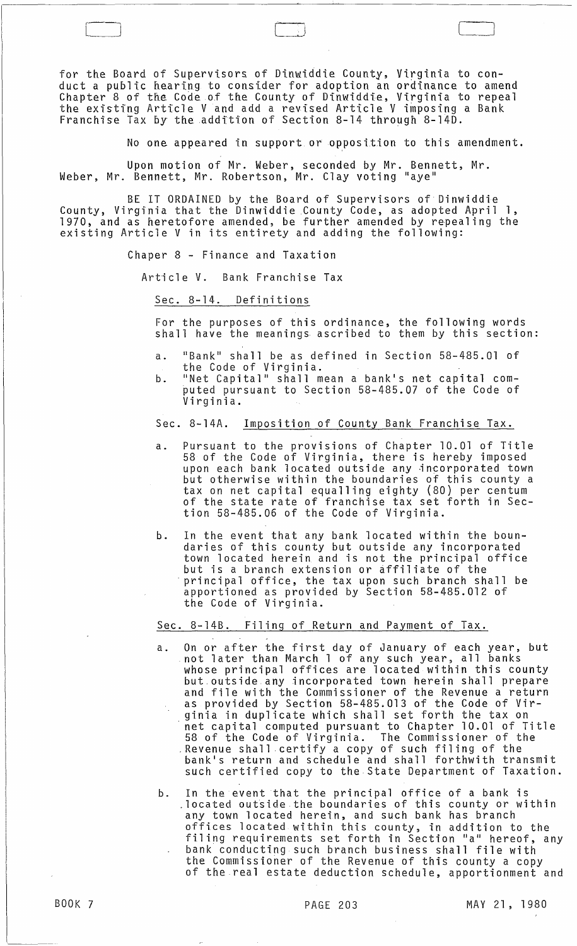for the Board of Supervisors of Dinwiddie County, Virginia to conduct a public hearing to consider for adoption an ordinance to amend Chapter 8 of the Code of the County of Dinwiddie, Virginia to repeal the eXisting Article V and add a revised Article V imposing a Bank Franchise Tax by theaddftion of Section 8-14 through 8-14D.

 $\Box$ 

No one appeared in support or opposition to this amendment.

Upon motion of Mr. Weber, seconded by Mr. Bennett, Mr. Weber, Mr. Bennett, Mr. Robertson, Mr. Clay voting "aye"

BE IT ORDAINED by the Board of Supervisors of Dinwiddie County, Virginia that the Dinwiddie County Code, as adopted April 1, 1970, and as heretofore amended, be further amended by repealing the existing Article V in its entirety and adding the following:

Chaper 8 - Finance and Taxation

 $\overline{a}$ 

Article V. Bank Franchise Tax

Sec. 8-14. Definitions

For the purposes of this ordinance, the following words shall have the meanings ascribed to them by this section:

- a. "Bank" shall be as defined in Section 58-485.01 of the Code of Virginia.
- b. "Net Capital" shall mean a bank's net capital com puted pursuant to Section 58-485.07 of the Code of Virginia.

## Sec. 8-14A. Imposition of County Bank Franchise Tax.

- a. Pursuant to the provisions of Chapter 10.01 of Title 58 of the Code of Virginia, there is hereby imposed upon each bank located outside any incorporated town but otherwise within the boundaries of this county a tax on net capital equalling eighty (80) per centum of the state rate of franchise tax set forth in Section 58-485.06 of the Code of Virginia.
- b. In the event that any bank located within the boundaries of this county but outside any incorporated town located herein and is not the principal office principal office, the tax upon such branch shall be apportioned as provided by Section 58-485.012 of the Code of Virginia.

Sec. 8-14B. Filing of Return and Payment of Tax.

- a. On or after the first day of January of each year, but not later than March 1 of any such year, all banks whose principal offices are located within this county but. outside any incorporated town herein shall prepare and file with the Commissioner of the Revenue a return as provided by Section 58-485.013 of the Code of Virginia in duplicate which shall set forth the tax on net capital computed pursuant to Chapter 10.01 of Title 58 of the Code of Virginia. The Commissioner of the .Revenue shall .certify a copy of such filing of the bank's return and schedule and shall forthwith transmit such certified copy to the State Department of Taxation.
- b. In the event that the principal office of a bank is .located outside the boundaries of this county or within any town located herein, and such bank has branch offices located within this county, in addition to the filing requirements set forth in Section "a" hereof, any bank conducting such branch business shall file with the Commissioner of the Revenue of this county a copy of the real estate deduction schedule, apportionment and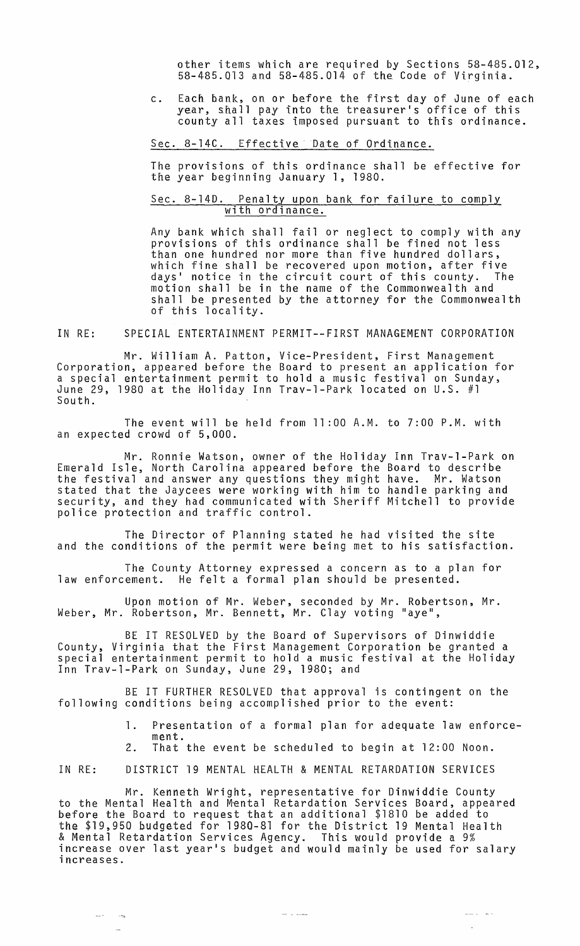other items which are required by Sections 58-485.012, 58-485.Q13 and 58-485.014 of the Code of Virginia.

c. Each bank, on or before the first day of June of each year, shall pay into the treasurer's office of this county all taxes imposed pursuant to this ordinance.

## Sec. 8-14C. Effective Date of Ordinance.

The provisions of this ordinance shall be effective for the year beginning January 1, 1980.

## Sec. 8-14D. Penalty upon bank for failure to comply with ordinance.

Any bank which shall fail or neglect to comply with any provisions of this ordinance shall be fined not less than one hundred nor more than five hundred dollars, which fine shall be recovered upon motion, after five days' notice in the circuit court of this county. The motion shall be in the name of the Commonwealth and shall be presented by the attorney for the Commonwealth of this locality.

IN RE: SPECIAL ENTERTAINMENT PERMIT--FIRST MANAGEMENT CORPORATION

Mr. William A. Patton, Vice-President, First Management Corporation, appeared before the Board to present an application for a special entertainment permit to hold a music festival on Sunday, June 29, 1980 at the Holiday Inn Trav-1-Park located on U.S. #1 South.

The event will be held from 11 :00 A.M. to 7:00 P.M. with an expected crowd of 5,000.

Mr. Ronnie Watson, owner of the Holiday Inn Trav-l-Park on Emerald Isle, North Carolina appeared before the Board to describe the festival and answer any questions they might have. Mr. Watson stated that the Jaycees were working with him to handle parking and security, and they had communicated with Sheriff Mitchell to provide<br>police protection and traffic control.

The Director of Planning stated he had visited the site and the conditions of the permit were being met to his satisfaction.

The County Attorney expressed a concern as to a plan for<br>law enforcement. He felt a formal plan should be presented. He felt a formal plan should be presented.

Upon motion of Mr. Weber, seconded by Mr. Robertson, Mr. Weber, Mr. Robertson, Mr. Bennett, Mr. Clay voting "aye",

BE IT RESOLVED by the Board of Supervisors of Dinwiddie County, Virginia that the First Management Corporation be granted a special entertainment permit to hold a music festival at the Holiday Inn Trav-l-Park on Sunday, June 29, 1980; and

BE IT FURTHER RESOLVED that approval is contingent on the following conditions being accomplished prior to the event:

- 1. Presentation of a formal plan for adequate law enforcement.
- 2. That the event be scheduled to begin at 12:00 Noon.

IN RE: DISTRICT 19 MENTAL HEALTH & MENTAL RETARDATION SERVICES

Mr. Kenneth Wright, representative for Dinwiddie County to the Mental Health and Mental Retardation Services Board, appeared before the Board to request that an additional \$1810 be added to the \$19,950 budgeted for 1980-81 for the District 19 Mental Health & Mental Retardation Services Agency. This would provide a 9% a hencer heteraation services hydney. This would provide a 5%<br>increase over last year's budget and would mainly be used for salary<br>increases.

 $\sim$   $\sim$   $\sim$ 

 $\frac{1}{2}$  $\sim$   $-$  ولحسن المستشر

 $\mathbb{Z}^2$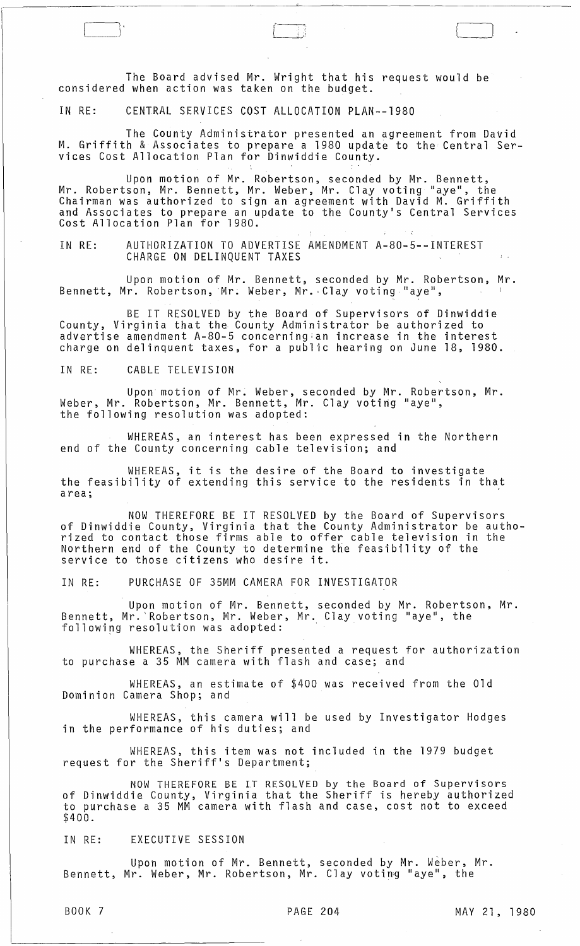The Board advised Mr. Wright that his request would be considered when action was taken on the budget.

IN RE: CENTRAL SERVICES COST ALLOCATION PLAN--1980

 $\Box$ 

The County Administrator presented an agreement from David M. Griffith & Associates to prepare a 1980 update to the Central Services Cost Allocation Plan for Dinwiddie County.

 $\mathfrak{t} = \mathfrak{t}$  ;  $\mathfrak{t}$ 

Upon motion of Mr. Robertson, seconded by Mr. Bennett, Mr. Robertson, Mr. Bennett, Mr. Weber, Mr. Clay voting "aye", the Chairman was authorized to sign an agreement with David M. Griffith and Associates to prepare an update to the County's Central Services Cost Allocation Plan for 1980.

IN RE: AUTHORIZATION TO ADVERTISE AMENDMENT A-80-5--INTEREST CHARGE ON DELINQUENT TAXES

Upon motion of Mr. Bennett, seconded by Mr. Robertson, Mr. Bennett, Mr. Robertson, Mr. Weber, Mr. Clay voting "aye",

BE IT RESOLVED by the Board of Supervisors of Dinwiddie County, Virginia that the County Administrator be authorized to advertise amendment A-80-5 concerning:an increase in the interest charge on delinquent taxes, for a public hearing on June 18, 1980.

IN RE: CABLE TELEVISION

Upon motion of Mr. Weber, seconded by Mr. Robertson, Mr. Weber, Mr. Robertson, Mr. Bennett, Mr. Clay voting "aye", the following resolution was adopted:

WHEREAS, an interest has been expressed in the Northern end of the County concerning cable television; and

WHEREAS, it is the desire of the Board to investigate the feasibility of extending this service to the residents in that area;

NOW THEREFORE BE IT RESOLVED by the Board of Supervisors of Dinwiddie County, Virginia that the County Administrator be authorized to contact those firms able to offer cable television in the Northern end of the County to determine the feasibility of the service to those citizens who desire it.

IN RE: PURCHASE OF 35MM CAMERA FOR INVESTIGATOR

Upon motion of Mr. Bennett, seconded by Mr. Robertson, Mr. Bennett, Mr. Robertson, Mr. Weber, Mr. Clay voting "aye", the following resolution was adopted:

WHEREAS, the Sheriff presented a request for authorization to purchase a 35 MM camera with flash and case; and

WHEREAS, an estimate of \$400 was received from the Old Dominion Camera Shop; and

WHEREAS, this camera will be used by Investigator Hodges in the performance of his duties; and

WHEREAS, this item was not included in the 1979 budget request for the Sheriff's Department;

NOW THEREFORE BE IT RESOLVED by the Board of Supervisors of Dinwiddie County, Virginia that the Sheriff is hereby authorized to purchase a 35 MM camera with flash and case, cost not to exceed \$400.

IN RE: EXECUTIVE SESSION

Upon motion of Mr. Bennett, seconded by Mr. Weber, Mr. Bennett, Mr. Weber, Mr. Robertson, Mr. Clay voting "aye", the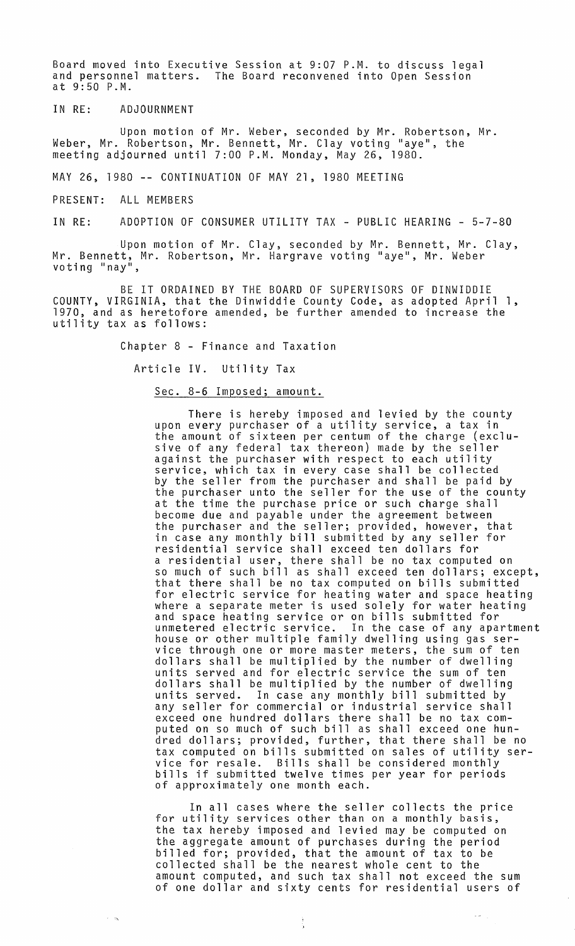Board moved into Executive Session at 9:07 P.M. to discuss legal and personnel matters. The Board reconvened into Open Session at 9:50 P.M.

IN RE: ADJOURNMENT

Upon motion of Mr. Weber, seconded by Mr. Robertson, Mr. Weber, Mr. Robertson, Mr. Bennett, Mr. Clay voting "aye", the meeting adjourned until 7:00 P.M. Monday, May 26, 1980.

MAY 26, 1980 -- CONTINUATION OF MAY 21, 1980 MEETING

PRESENT: ALL MEMBERS

 $\sim$   $\infty$ 

IN RE: ADOPTION OF CONSUMER UTILITY TAX - PUBLIC HEARING - 5-7-80

Upon motion of Mr. Clay, seconded by Mr. Bennett, Mr. Clay, Mr. Bennett, Mr. Robertson, Mr. Hargrave voting "aye", Mr. Weber voting "nay",

BE IT ORDAINED BY THE BOARD OF SUPERVISORS OF DINWIDDIE COUNTY, VIRGINIA, that the Dinwiddie County Code, as adopted April 1, 1970, and as heretofore amended, be further amended to increase the utility tax as follows:

Chapter 8 - Finance and Taxation

Article IV. Utility Tax

Sec. 8-6 Imposed; amount.

There is hereby imposed and levied by the county upon every purchaser of a utility service, a tax in the amount of sixteen per centum of the charge (exclusive of any federal tax thereon) made by the seller against the purchaser with respect to each utility service, which tax in every case shall be collected service, which tax in every case shall be collected<br>by the seller from the purchaser and shall be paid by the purchaser unto the seller for the use of the county at the time the purchase price or such charge shall become due and payable under the agreement between the purchaser and the seller; provided, however, that in case any monthly bill submitted by any seller for residential service shall exceed ten dollars for a residential user, there shall be no tax computed on so much of such bill as shall exceed ten dollars; except, that there shall be no tax computed on bills submitted for electric service for heating water and space heating where a separate meter is used solely for water heating and space heating service or on bills submitted for unmetered electric service. In the case of any apartment house or other multiple family dwelling using gas service through one or more master meters, the sum of ten dollars shall be multiplied by the number of dwelling units served and for electric service the sum of ten dollars shall be multiplied by the number of dwelling<br>units served. In case any monthly bill submitted by In case any monthly bill submitted by any seller for commercial or industrial service shall exceed one hundred dollars there shall be no tax computed on so much of such bill as shall exceed one hundred dollars; provided, further, that there shall be no tax computed on bills submitted on sales of utility service for resale. Bills shall be considered monthly bills if submitted twelve times per year for periods of approximately one month each.

In all cases where the seller collects the price for utility services other than on a monthly basis, the tax hereby imposed and levied may be computed on the aggregate amount of purchases during the period billed for; provided, that the amount of tax to be collected shall be the nearest whole cent to the amount computed, and such tax shall not exceed the sum of one dollar and sixty cents for residential users of

Ĵ,

 $\epsilon \neq \pm \pm$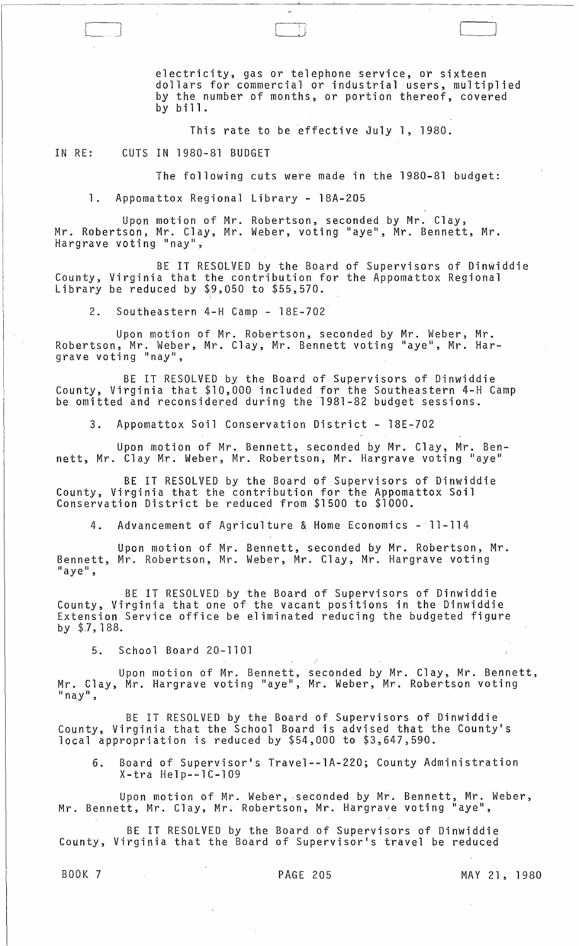electricity, gas or telephone service, or sixteen dollars for commercial or industrial users, multiplied by the number of months, or portion thereof, covered by bill.

This rate to be effective July 1, 1980.

IN RE: CUTS IN 1980-81 BUDGET

 $\begin{pmatrix} 1 & 1 \\ 1 & 1 \end{pmatrix}$ 

The following cuts were made in the 1980-81 budget:

1. Appomattox Regional Library - 18A-205

Upon motion of Mr. Robertson, seconded by Mr. Clay, Mr. Robertson, Mr. Clay, Mr. Weber, voting "aye", Mr. Bennett, Mr. Hargrave voting "nay",

BE IT RESOLVED by the Board of Supervisors of Dinwiddie County, Virginia that the contribution for the Appomattox Regional Library be reduced by \$9,050 to \$55,570.

2. Southeastern 4-H Camp - 18E-702

Upon motion of Mr. Robertson, seconded by Mr. Weber, Mr. Robertson, Mr. Weber, Mr. Clay, Mr. Bennett voting "aye", Mr. Hararave voting "nay",

BE IT RESOLVED by the Board of Supervisors of Dinwiddie County, Virginia that \$10,000 included for the Southeastern 4-H Camp be omitted and reconsidered during the 1981-82 budget sessions.

3. Appomattox Soil Conservation District - 18E-702

Upon motion of Mr. Bennett, seconded by Mr. Clay, Mr. Bennett, Mr. Clay Mr. Weber, Mr. Robertson, Mr. Hargrave voting "aye"

BE IT RESOLVED by the Board of Supervisors of Dinwiddie County, Virginia that the contribution for the Appomattox Soil Conservation District be reduced from \$1500 to \$1000.

4. Advancement of Agriculture & Home Economics - 11-114

Upon motion of Mr. Bennett, seconded by Mr. Robertson, Mr. Bennett, Mr. Robertson, Mr. Weber, Mr. Clay, Mr. Hargrave voting "aye",

BE IT RESOLVED by the Board of Supervisors of Dinwiddie County, Virginia that one of the vacant positions in the Dinwiddie Extension Service office be eliminated reducing the budgeted figure by \$7,188.

5. School Board 20-1101

Upon motion of Mr. Bennett, seconded by Mr. Clay, Mr. Bennett, Mr. Clay, Mr. Hargrave voting "aye", Mr. Weber, Mr. Robertson voting "nay",

BE IT RESOLVED by the Board of Supervisors of Dinwiddie County, Virginia that the School Board is advised that the County's local appropriation is reduced by \$54,000 to \$3,647,590.

6. Board of Supervisor's Travel--1A-220; County Administration X-tra Help--1C-l09

Upon motion of Mr. Weber, seconded by Mr. Bennett, Mr. Weber, Mr. Bennett, Mr. Clay, Mr. Robertson, Mr. Hargrave voting "aye",

BE IT RESOLVED by the Board of Supervisors of Dinwiddie County, Virginia that the Board of Supervisor's travel be reduced

BOOK 7 PAGE 205 MAY 21, 1980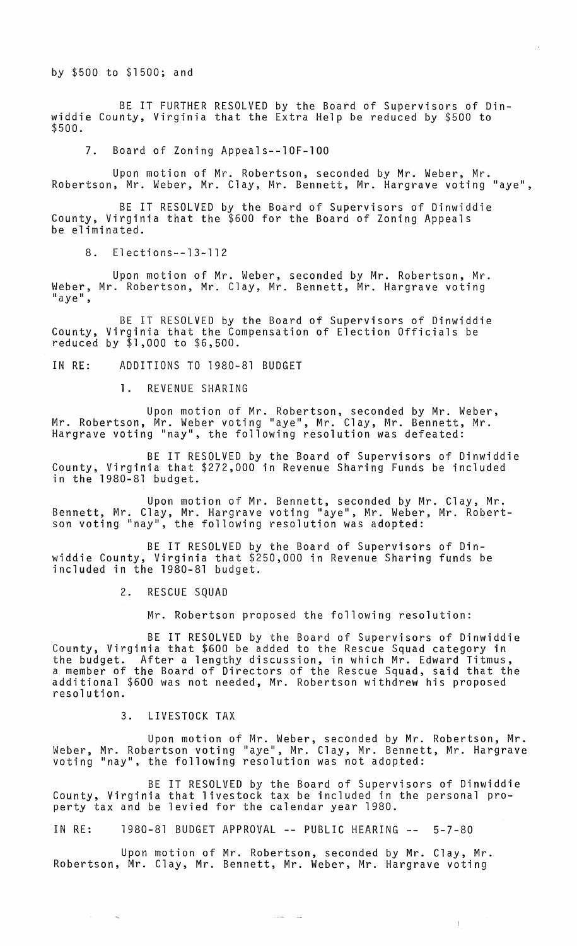by \$500 to \$1500; and

BE IT FURTHER RESOLVED by the Board of Supervisors of Dinwiddie County, Virginia that the Extra Help be reduced by \$500 to \$500.

7. Board of Zoning Appeals--10F-100

Upon motion of Mr. Robertson, seconded by Mr. Weber, Mr. Robertson, Mr. Weber, Mr. Clay, Mr. Bennett, Mr. Hargrave voting "aye",

BE IT RESOLVED by the Board of Supervisors of Dinwiddie County, Virginia that the \$600 for the Board of Zoning Appeals be eliminated.

8. Elections--13-112

Upon motion of Mr. Weber, seconded by Mr. Robertson, Mr. Weber, Mr. Robertson, Mr. Clay, Mr. Bennett, Mr. Hargrave voting<br>"aye",

BE IT RESOLVED by the Board of Supervisors of Dinwiddie County, Virginia that the Compensation of Election Officials be reduced by \$1,000 to \$6,500.

IN RE: ADDITIONS TO 1980-81 BUDGET

1. REVENUE SHARING

Upon motion of Mr. Robertson, seconded by Mr. Weber, Mr. Robertson, Mr. Weber voting "aye", Mr. Clay, Mr. Bennett, Mr. Hargrave voting "nay", the following resolution was defeated:

BE IT RESOLVED by the Board of Supervisors of Dinwiddie County, Virginia that \$272,000 in Revenue Sharing Funds be included in the 1980-81 budget.

Upon motion of Mr. Bennett, seconded by Mr. Clay, Mr. Bennett, Mr. Clay, Mr. Hargrave voting "aye", Mr. Weber, Mr. Robertson voting "nay", the following resolution was adopted:

BE IT RESOLVED by the Board of Supervisors of Dinwiddie County, Virginia that \$250,000 in Revenue Sharing funds be included in the 1980-81 budget.

2. RESCUE SQUAD

Mr. Robertson proposed the following resolution:

BE IT RESOLVED by the Board of Supervisors of Dinwiddie County, Virginia that \$600 be added to the Rescue Squad category in the budget. After a lengthy discussion, in which Mr. Edward Titmus, a member of the Board of Directors of the Rescue Squad, said that the additional \$600 was not needed, Mr. Robertson withdrew his proposed resolution.

3. LIVESTOCK TAX

 $\sim$ 

 $\sim$   $-$ 

Upon motion of Mr. Weber, seconded by Mr. Robertson, Mr. Weber, Mr. Robertson voting "aye", Mr. Clay, Mr. Bennett, Mr. Hargrave voting "nay", the following resolution was not adopted:

BE IT RESOLVED by the Board of Supervisors of Dinwiddie County, Virginia that livestock tax be included in the personal property tax and be levied for the calendar year 1980.

 $\sim 100$  and  $\sim 100$  m  $^{-1}$ 

 $\pm$ 

IN RE: 1980-81 BUDGET APPROVAL -- PUBLIC HEARING -- 5-7-80

Upon motion of Mr. Robertson, seconded by Mr. Clay, Mr. Robertson, Mr. Clay, Mr. Bennett, Mr. Weber, Mr. Hargrave voting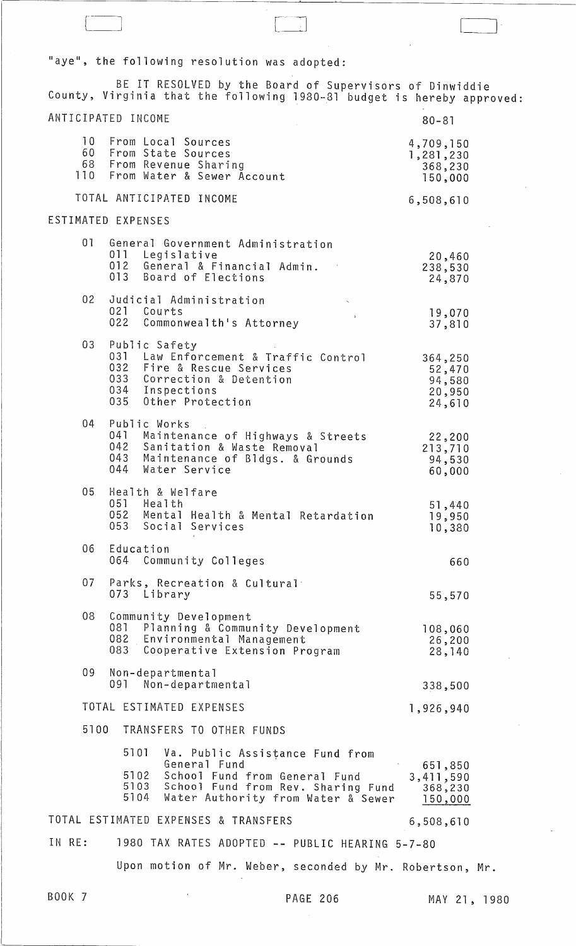"aye", the following resolution was adopted:

BE IT RESOLVED by the Board of Supervisors of Dinwiddie County, Virginia that the following 1980-81 budget is hereby approved: ANTICIPATED INCOME 10 From Local Sources<br>60 From State Sources 60 From State Sources 68 From Revenue Sharing From Water & Sewer Account TOTAL ANTICIPATED INCOME ESTIMATED EXPENSES 01 General Government Administration<br>011 Legislative 011 Legislative<br>012 General & E 012 General & Financial Admin.<br>013 Board of Elections Board of Elections 02 Judicial Administration<br>021 Courts 021 Courts<br>022 Common Commonwealth's Attorney 03 Public Safety<br>031 Law Enfo 031 Law Enforcement & Traffic Control<br>032 Fire & Rescue Services 032 Fire & Rescue Services 033 Correction & Detention<br>034 Inspections 034 Inspections<br>035 Other Prote Other Protection 04 Public Works<br>041 Mainten 041 Maintenance of Highways & Streets<br>042 Sanitation & Waste Removal 042 Sanitation & Waste Removal 043 Maintenance of Bldgs. & Grounds<br>044 Water Service Water Service 05 Health & Welfare 051 Health 052 Mental Health & Mental Retardation<br>053 Social Services Social Services 06 Education 064 Community Colleges 07 Parks, Recreation & Cultural<br>073 Library Library 08 Community Development<br>081 Planning & Commun 081 Planning & Community Development<br>082 Environmental Management 082 Environmental Management Cooperative Extension Program 09 Non-departmental Non-departmental TOTAL ESTIMATED EXPENSES 5100 TRANSFERS TO OTHER FUNDS 5101 Va. Public Assistance Fund from Genera 1 Fund . 5102 School Fund from General Fund 5103 School Fund from Rev. Sharing Fund 5104 Water Authority from Water & Sewer TOTAL ESTIMATED EXPENSES & TRANSFERS 80-81 4,709,150 1,281,230 368,230 150,000 6,508,610 20,460 238,530 24,870 19,070 37,810 364,250 52,470 94,580 20,950 24,610 22,200 213,710 94,530 60,000 51 ,440 19,950 10,380 660 55,570 108,060 26,200 28,140 338,500 1,926,940 651,850 3,411 ,590 368-,230 150,000 6,508,610 IN RE: 1980 TAX RATES ADOPTED **--** PUBLIC HEARING 5-7-80 Upon motion of Mr. Weber, seconded by Mr. Robertson, Mr.

\_--1]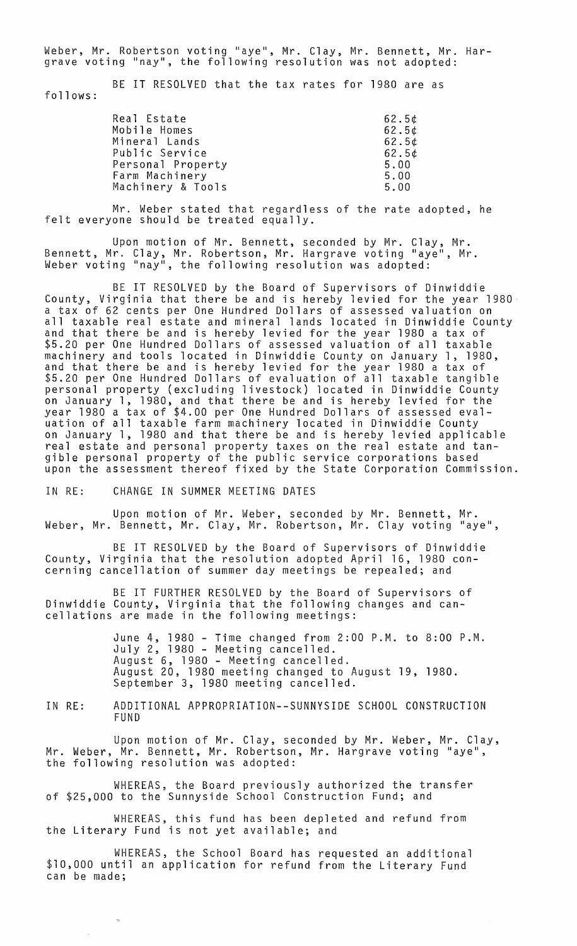Weber, Mr. Robertson voting "aye", Mr. Clay, Mr. Bennett, Mr. Hargrave voting "nay", the following resolution was not adopted:

follows: BE IT RESOLVED that the tax rates for 1980 are as

| Real Estate       | $62.5$ ¢          |
|-------------------|-------------------|
| Mobile Homes      | 62.5 <sub>t</sub> |
| Mineral Lands     | 62.5 <sub>t</sub> |
| Public Service    | 62.5 <sub>t</sub> |
| Personal Property | 5.00              |
| Farm Machinery    | 5.00              |
| Machinery & Tools | 5.00              |
|                   |                   |

Mr. Weber stated that regardless of the rate adopted, he felt everyone should be treated equally.

Upon motion of Mr. Bennett, seconded by Mr. Clay, Mr. Bennett, Mr. Clay, Mr. Robertson, Mr. Hargrave voting "aye", Mr. Weber voting "nay", the following resolution was adopted:

BE IT RESOLVED by the Board of Supervisors of Dinwiddie County, Virginia that there be and is hereby levied for the year 1980 a tax of 62 cents per One Hundred Dollars of assessed valuation on all taxable real estate and mineral lands located in Dinwiddie County and that there be and is hereby levied for the year 1980 a tax of \$5.20 per One Hundred Dollars of assessed valuation of all taxable machinery and tools located in Dinwiddie County on January 1, 1980, and that there be and is hereby levied for the year 1980 a tax of \$5.20 per One Hundred Dollars of evaluation of all taxable tangible personal property (excluding livestock) located in Dinwiddie County on January 1, 1980, and that there be and is hereby levied for the year 1980 a tax of \$4.00 per One Hundred Dollars of assessed evaluation of all taxable farm machinery located in Dinwiddie County on January 1, 1980 and that there be and is hereby levied applicable real estate and personal property taxes on the real estate and tangible personal property of the public service corporations based upon the assessment thereof fixed by the State Corporation Commission.

IN RE: CHANGE IN SUMMER MEETING DATES

 $\bar{\rm n}$ 

Upon motion of Mr. Weber, seconded by Mr. Bennett, Mr. Weber, Mr. Bennett, Mr. Clay, Mr. Robertson, Mr. Clay voting "aye",

BE IT RESOLVED by the Board of Supervisors of Dinwiddie County, Virginia that the resolution adopted April 16, 1980 concerning cancellation of summer day meetings be repealed; and

BE IT FURTHER RESOLVED by the Board of Supervisors of Dinwiddie County, Virginia that the following changes and cancellations are made in the following meetings:

> June 4, 1980 - Time changed from 2:00 P.M. to 8:00 P.M. July 2, 1980 - Meeting cancelled. August 6, 1980 - Meeting cancelled. August 20, 1980 meeting changed to August 19, 1980. September 3, 1980 meeting cancelled.

IN RE: ADDITIONAL APPROPRIATION--SUNNYSIDE SCHOOL CONSTRUCTION FUND

Upon motion of Mr. Clay, seconded by Mr. Weber, Mr. Clay, Mr. Weber, Mr. Bennett, Mr. Robertson, Mr. Hargrave voting "aye", the following resolution was adopted:

WHEREAS, the Board previously authorized the transfer of \$25,000 to the Sunnyside School Construction Fund; and

WHEREAS, this fund has been depleted and refund from the Literary Fund is not yet available; and

WHEREAS, the School Board has requested an additional \$10,000 until an application for refund from the Literary Fund can be made;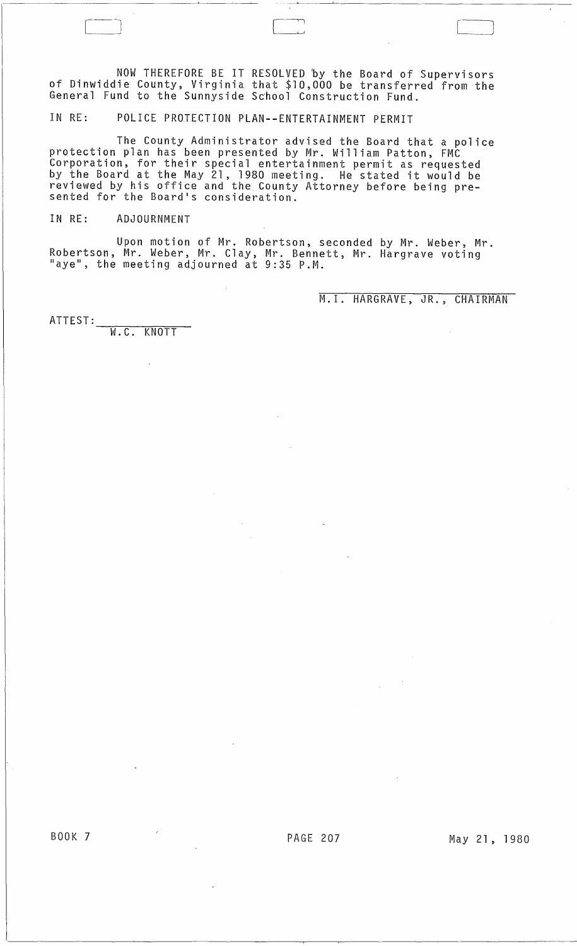NOW THEREFORE BE IT RESOLVED 'by the Board of Supervisors of Dinwiddie County, Virginia that \$10,000 be transferred from the General Fund to the Sunnyside School Construction Fund.

IN RE: POLICE PROTECTION PLAN--ENTERTAINMENT PERMIT

The County Administrator advised the Board that a police protection plan has been presented by Mr. William Patton, FMC Corporation, for their special entertainment permit as requested by the Board at the May 21, 1980 meeting. He stated it would be reviewed by his office and the County Attorney before being pre-<br>sented for the Board's consideration.

IN RE: ADJOURNMENT

Upon motion of Mr. Robertson, seconded by Mr. Weber, Mr. Robertson, Mr. Weber, Mr. Clay, Mr. Bennett, Mr. Hargrave voting<br>"aye", the meeting adjourned at 9:35 P.M.

M. I. HARGRAVE, JR., CHAIRMAN

ATTEST: W.C. KNOTT

BOOK 7 PAGE 207 May 21, 1980